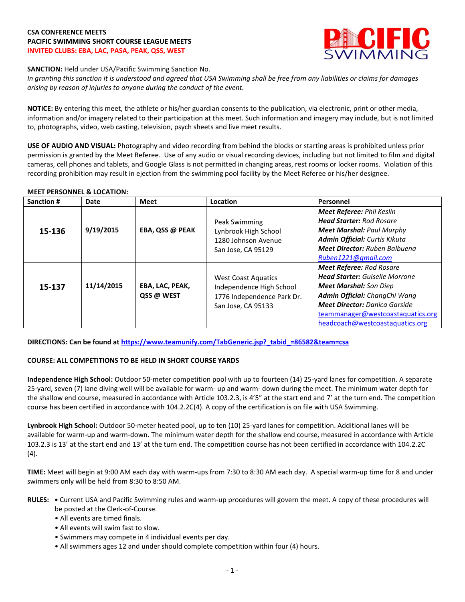## **CSA CONFERENCE MEETS PACIFIC SWIMMING SHORT COURSE LEAGUE MEETS INVITED CLUBS: EBA, LAC, PASA, PEAK, QSS, WEST**



**SANCTION:** Held under USA/Pacific Swimming Sanction No.

*In granting this sanction it is understood and agreed that USA Swimming shall be free from any liabilities or claims for damages arising by reason of injuries to anyone during the conduct of the event.*

**NOTICE:** By entering this meet, the athlete or his/her guardian consents to the publication, via electronic, print or other media, information and/or imagery related to their participation at this meet. Such information and imagery may include, but is not limited to, photographs, video, web casting, television, psych sheets and live meet results.

**USE OF AUDIO AND VISUAL:** Photography and video recording from behind the blocks or starting areas is prohibited unless prior permission is granted by the Meet Referee. Use of any audio or visual recording devices, including but not limited to film and digital cameras, cell phones and tablets, and Google Glass is not permitted in changing areas, rest rooms or locker rooms. Violation of this recording prohibition may result in ejection from the swimming pool facility by the Meet Referee or his/her designee.

### **MEET PERSONNEL & LOCATION:**

| Sanction # | Date       | Meet                          | Location                                                                                                   | Personnel                                                                                                                                                                                                                                                  |
|------------|------------|-------------------------------|------------------------------------------------------------------------------------------------------------|------------------------------------------------------------------------------------------------------------------------------------------------------------------------------------------------------------------------------------------------------------|
| 15-136     | 9/19/2015  | EBA, QSS @ PEAK               | Peak Swimming<br>Lynbrook High School<br>1280 Johnson Avenue<br>San Jose, CA 95129                         | <b>Meet Referee: Phil Keslin</b><br><b>Head Starter: Rod Rosare</b><br><b>Meet Marshal: Paul Murphy</b><br>Admin Official: Curtis Kikuta<br><b>Meet Director: Ruben Balbuena</b>                                                                           |
|            |            |                               |                                                                                                            | Ruben1221@gmail.com                                                                                                                                                                                                                                        |
| 15-137     | 11/14/2015 | EBA, LAC, PEAK,<br>QSS @ WEST | <b>West Coast Aquatics</b><br>Independence High School<br>1776 Independence Park Dr.<br>San Jose, CA 95133 | <b>Meet Referee: Rod Rosare</b><br><b>Head Starter:</b> Guiselle Morrone<br><b>Meet Marshal:</b> Son Diep<br>Admin Official: ChangChi Wang<br><b>Meet Director:</b> Danica Garside<br>teammanager@westcoastaquatics.org<br>headcoach@westcoastaquatics.org |

**DIRECTIONS: Can be found a[t https://www.teamunify.com/TabGeneric.jsp?\\_tabid\\_=86582&team=csa](https://www.teamunify.com/TabGeneric.jsp?_tabid_=86582&team=csa)**

## **COURSE: ALL COMPETITIONS TO BE HELD IN SHORT COURSE YARDS**

**Independence High School:** Outdoor 50-meter competition pool with up to fourteen (14) 25-yard lanes for competition. A separate 25-yard, seven (7) lane diving well will be available for warm- up and warm- down during the meet. The minimum water depth for the shallow end course, measured in accordance with Article 103.2.3, is 4'5" at the start end and 7' at the turn end. The competition course has been certified in accordance with 104.2.2C(4). A copy of the certification is on file with USA Swimming.

**Lynbrook High School:** Outdoor 50-meter heated pool, up to ten (10) 25-yard lanes for competition. Additional lanes will be available for warm-up and warm-down. The minimum water depth for the shallow end course, measured in accordance with Article 103.2.3 is 13' at the start end and 13' at the turn end. The competition course has not been certified in accordance with 104.2.2C (4).

**TIME:** Meet will begin at 9:00 AM each day with warm-ups from 7:30 to 8:30 AM each day. A special warm-up time for 8 and under swimmers only will be held from 8:30 to 8:50 AM.

- **RULES: •** Current USA and Pacific Swimming rules and warm-up procedures will govern the meet. A copy of these procedures will be posted at the Clerk-of-Course.
	- All events are timed finals.
	- All events will swim fast to slow.
	- Swimmers may compete in 4 individual events per day.
	- All swimmers ages 12 and under should complete competition within four (4) hours.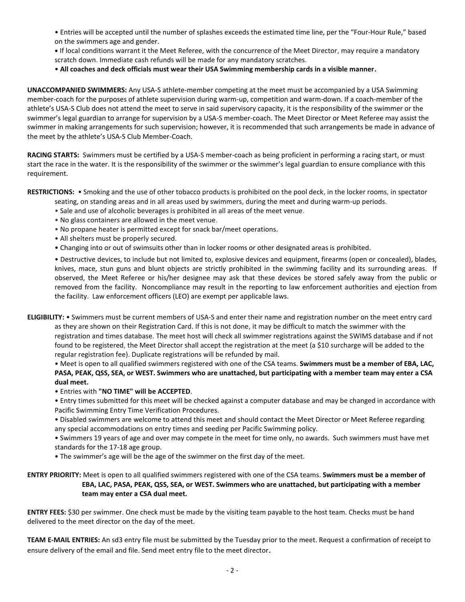• Entries will be accepted until the number of splashes exceeds the estimated time line, per the "Four-Hour Rule," based on the swimmers age and gender.

**•** If local conditions warrant it the Meet Referee, with the concurrence of the Meet Director, may require a mandatory scratch down. Immediate cash refunds will be made for any mandatory scratches.

• **All coaches and deck officials must wear their USA Swimming membership cards in a visible manner.** 

**UNACCOMPANIED SWIMMERS:** Any USA-S athlete-member competing at the meet must be accompanied by a USA Swimming member-coach for the purposes of athlete supervision during warm-up, competition and warm-down. If a coach-member of the athlete's USA-S Club does not attend the meet to serve in said supervisory capacity, it is the responsibility of the swimmer or the swimmer's legal guardian to arrange for supervision by a USA-S member-coach. The Meet Director or Meet Referee may assist the swimmer in making arrangements for such supervision; however, it is recommended that such arrangements be made in advance of the meet by the athlete's USA-S Club Member-Coach.

**RACING STARTS:** Swimmers must be certified by a USA-S member-coach as being proficient in performing a racing start, or must start the race in the water. It is the responsibility of the swimmer or the swimmer's legal guardian to ensure compliance with this requirement.

**RESTRICTIONS:** • Smoking and the use of other tobacco products is prohibited on the pool deck, in the locker rooms, in spectator seating, on standing areas and in all areas used by swimmers, during the meet and during warm-up periods.

- Sale and use of alcoholic beverages is prohibited in all areas of the meet venue.
- No glass containers are allowed in the meet venue.
- No propane heater is permitted except for snack bar/meet operations.
- All shelters must be properly secured.
- Changing into or out of swimsuits other than in locker rooms or other designated areas is prohibited.

• Destructive devices, to include but not limited to, explosive devices and equipment, firearms (open or concealed), blades, knives, mace, stun guns and blunt objects are strictly prohibited in the swimming facility and its surrounding areas. If observed, the Meet Referee or his/her designee may ask that these devices be stored safely away from the public or removed from the facility. Noncompliance may result in the reporting to law enforcement authorities and ejection from the facility. Law enforcement officers (LEO) are exempt per applicable laws.

**ELIGIBILITY:** • Swimmers must be current members of USA-S and enter their name and registration number on the meet entry card as they are shown on their Registration Card. If this is not done, it may be difficult to match the swimmer with the registration and times database. The meet host will check all swimmer registrations against the SWIMS database and if not found to be registered, the Meet Director shall accept the registration at the meet (a \$10 surcharge will be added to the regular registration fee). Duplicate registrations will be refunded by mail.

• Meet is open to all qualified swimmers registered with one of the CSA teams. **Swimmers must be a member of EBA, LAC, PASA, PEAK, QSS, SEA, or WEST. Swimmers who are unattached, but participating with a member team may enter a CSA dual meet.**

• Entries with **"NO TIME" will be ACCEPTED**.

• Entry times submitted for this meet will be checked against a computer database and may be changed in accordance with Pacific Swimming Entry Time Verification Procedures.

• Disabled swimmers are welcome to attend this meet and should contact the Meet Director or Meet Referee regarding any special accommodations on entry times and seeding per Pacific Swimming policy.

• Swimmers 19 years of age and over may compete in the meet for time only, no awards. Such swimmers must have met standards for the 17-18 age group.

• The swimmer's age will be the age of the swimmer on the first day of the meet.

**ENTRY PRIORITY:** Meet is open to all qualified swimmers registered with one of the CSA teams. **Swimmers must be a member of EBA, LAC, PASA, PEAK, QSS, SEA, or WEST. Swimmers who are unattached, but participating with a member team may enter a CSA dual meet.** 

**ENTRY FEES:** \$30 per swimmer. One check must be made by the visiting team payable to the host team. Checks must be hand delivered to the meet director on the day of the meet.

**TEAM E-MAIL ENTRIES:** An sd3 entry file must be submitted by the Tuesday prior to the meet. Request a confirmation of receipt to ensure delivery of the email and file. Send meet entry file to the meet director.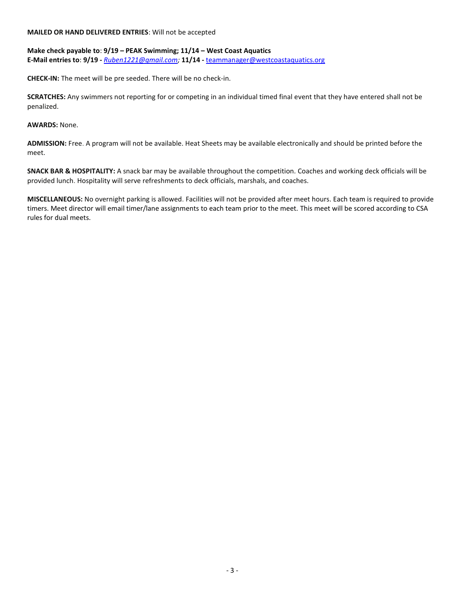#### **MAILED OR HAND DELIVERED ENTRIES**: Will not be accepted

# **Make check payable to**: **9/19 – PEAK Swimming; 11/14 – West Coast Aquatics E-Mail entries to**: **9/19 -** *[Ruben1221@gmail.com;](mailto:Ruben1221@gmail.com)* **11/14 -** [teammanager@westcoastaquatics.org](mailto:teammanager@westcoastaquatics.org)

**CHECK-IN:** The meet will be pre seeded. There will be no check-in.

**SCRATCHES:** Any swimmers not reporting for or competing in an individual timed final event that they have entered shall not be penalized.

**AWARDS:** None.

**ADMISSION:** Free. A program will not be available. Heat Sheets may be available electronically and should be printed before the meet.

**SNACK BAR & HOSPITALITY:** A snack bar may be available throughout the competition. Coaches and working deck officials will be provided lunch. Hospitality will serve refreshments to deck officials, marshals, and coaches.

**MISCELLANEOUS:** No overnight parking is allowed. Facilities will not be provided after meet hours. Each team is required to provide timers. Meet director will email timer/lane assignments to each team prior to the meet. This meet will be scored according to CSA rules for dual meets.